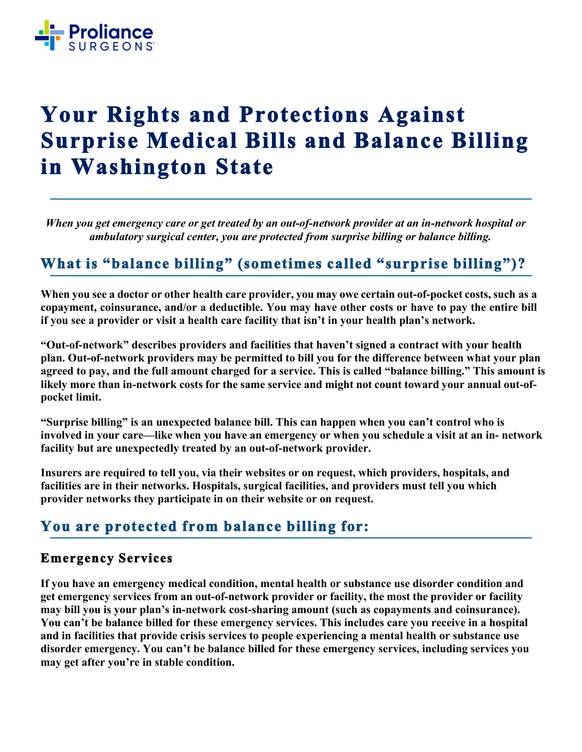

# **Your Rights and Protections Against Surprise Medical Bills and Balance Billing in Washington State**

*When you get emergency care or get treated by an out-of-network provider at an in-network hospital or ambulatory surgical center, you are protected from surprise billing or balance billing.*

## **What is "balance billing" (sometimes called "surprise billing")?**

**When you see a doctor or other health care provider, you may owe certain out-of-pocket costs, such as a copayment, coinsurance, and/or a deductible. You may have other costs or have to pay the entire bill if you see a provider or visit a health care facility that isn't in your health plan's network.**

**"Out-of-network" describes providers and facilities that haven't signed a contract with your health plan. Out-of-network providers may be permitted to bill you for the difference between what your plan agreed to pay, and the full amount charged for a service. This is called "balance billing." This amount is likely more than in-network costs for the same service and might not count toward your annual out-ofpocket limit.**

**"Surprise billing" is an unexpected balance bill. This can happen when you can't control who is involved in your care—like when you have an emergency or when you schedule a visit at an in- network facility but are unexpectedly treated by an out-of-network provider.**

**Insurers are required to tell you, via their websites or on request, which providers, hospitals, and facilities are in their networks. Hospitals, surgical facilities, and providers must tell you which provider networks they participate in on their website or on request.**

# **You are protected from balance billing for:**

#### **Emergency Services**

**If you have an emergency medical condition, mental health or substance use disorder condition and get emergency services from an out-of-network provider or facility, the most the provider or facility may bill you is your plan's in-network cost-sharing amount (such as copayments and coinsurance). You can't be balance billed for these emergency services. This includes care you receive in a hospital and in facilities that provide crisis services to people experiencing a mental health or substance use disorder emergency. You can't be balance billed for these emergency services, including services you may get after you're in stable condition.**